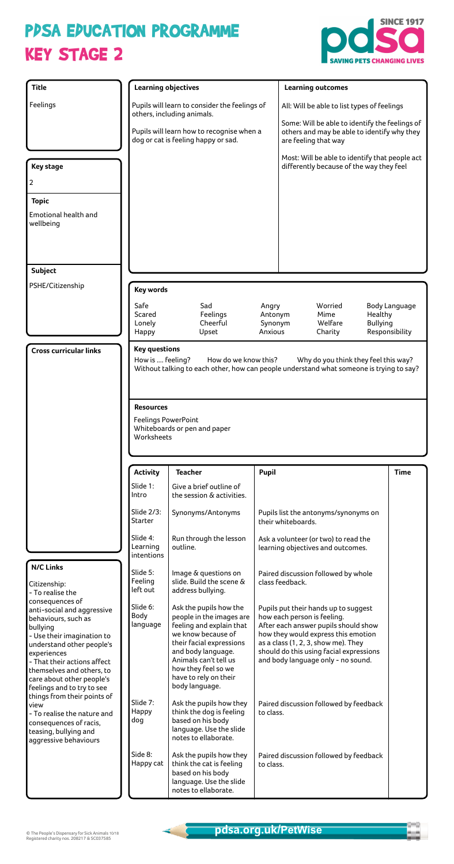## KEY STAGE 2 PPSA EPUCATION PROGRAMME





© The People's Dispensary for Sick Animals 10/18 Registered charity nos. 208217 & SC037585

| <b>Title</b>                                                            |                                                              | <b>Learning objectives</b>                                                       |                                                                                                                       | <b>Learning outcomes</b>                                                  |                            |                      |
|-------------------------------------------------------------------------|--------------------------------------------------------------|----------------------------------------------------------------------------------|-----------------------------------------------------------------------------------------------------------------------|---------------------------------------------------------------------------|----------------------------|----------------------|
| Feelings                                                                |                                                              | Pupils will learn to consider the feelings of<br>others, including animals.      |                                                                                                                       | All: Will be able to list types of feelings                               |                            |                      |
|                                                                         |                                                              | Pupils will learn how to recognise when a<br>dog or cat is feeling happy or sad. | Some: Will be able to identify the feelings of<br>others and may be able to identify why they<br>are feeling that way |                                                                           |                            |                      |
|                                                                         |                                                              |                                                                                  |                                                                                                                       | Most: Will be able to identify that people act                            |                            |                      |
| <b>Key stage</b>                                                        |                                                              |                                                                                  |                                                                                                                       | differently because of the way they feel                                  |                            |                      |
| $\overline{2}$                                                          |                                                              |                                                                                  |                                                                                                                       |                                                                           |                            |                      |
| <b>Topic</b>                                                            |                                                              |                                                                                  |                                                                                                                       |                                                                           |                            |                      |
| <b>Emotional health and</b><br>wellbeing                                |                                                              |                                                                                  |                                                                                                                       |                                                                           |                            |                      |
|                                                                         |                                                              |                                                                                  |                                                                                                                       |                                                                           |                            |                      |
| <b>Subject</b>                                                          |                                                              |                                                                                  |                                                                                                                       |                                                                           |                            |                      |
| PSHE/Citizenship                                                        | <b>Key words</b>                                             |                                                                                  |                                                                                                                       |                                                                           |                            |                      |
|                                                                         | Safe<br>Scared<br>Lonely                                     | Sad<br>Feelings<br>Cheerful                                                      | Angry<br>Antonym<br>Synonym                                                                                           | Worried<br>Mime<br>Welfare                                                | Healthy<br><b>Bullying</b> | <b>Body Language</b> |
|                                                                         | Happy                                                        | Upset                                                                            | Anxious                                                                                                               | Charity                                                                   |                            | Responsibility       |
|                                                                         | <b>Resources</b><br><b>Feelings PowerPoint</b><br>Worksheets | Whiteboards or pen and paper                                                     |                                                                                                                       |                                                                           |                            |                      |
|                                                                         | <b>Activity</b>                                              | <b>Teacher</b>                                                                   | Pupil                                                                                                                 |                                                                           |                            |                      |
|                                                                         |                                                              |                                                                                  |                                                                                                                       |                                                                           |                            | <b>Time</b>          |
|                                                                         | Slide 1:<br>Intro                                            | Give a brief outline of<br>the session & activities.                             |                                                                                                                       |                                                                           |                            |                      |
|                                                                         | Slide 2/3:<br>Starter                                        | Synonyms/Antonyms                                                                |                                                                                                                       | Pupils list the antonyms/synonyms on<br>their whiteboards.                |                            |                      |
|                                                                         | Slide 4:<br>Learning<br>intentions                           | Run through the lesson<br>outline.                                               |                                                                                                                       | Ask a volunteer (or two) to read the<br>learning objectives and outcomes. |                            |                      |
| <b>N/C Links</b><br>Citizenship:<br>- To realise the<br>consequences of | Slide 5:<br>Feeling<br>left out                              | Image & questions on<br>slide. Build the scene &<br>address bullying.            |                                                                                                                       | Paired discussion followed by whole<br>class feedback.                    |                            |                      |

| Feelings and to try to see<br>things from their points of<br><b>view</b><br>$\mathsf{\mathsf{I}}$ - To realise the nature and<br>consequences of racis,<br>teasing, bullying and<br>aggressive behaviours | Slide 7:<br>Happy<br>dog | body language.<br>Ask the pupils how they<br>think the dog is feeling<br>based on his body<br>language. Use the slide<br>notes to ellaborate. | Paired discussion followed by feedback<br>to class. |  |
|-----------------------------------------------------------------------------------------------------------------------------------------------------------------------------------------------------------|--------------------------|-----------------------------------------------------------------------------------------------------------------------------------------------|-----------------------------------------------------|--|
|                                                                                                                                                                                                           | Side 8:<br>Happy cat     | Ask the pupils how they<br>think the cat is feeling<br>based on his body<br>language. Use the slide<br>notes to ellaborate.                   | Paired discussion followed by feedback<br>to class. |  |